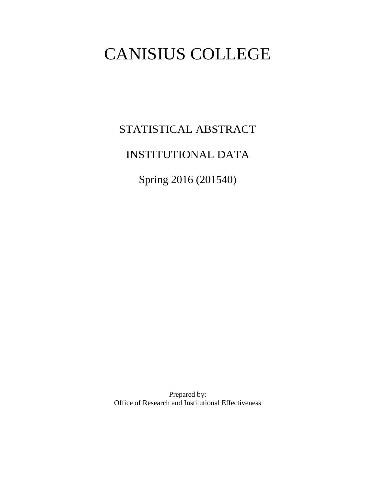# CANISIUS COLLEGE

STATISTICAL ABSTRACT

# INSTITUTIONAL DATA

Spring 2016 (201540)

Prepared by: Office of Research and Institutional Effectiveness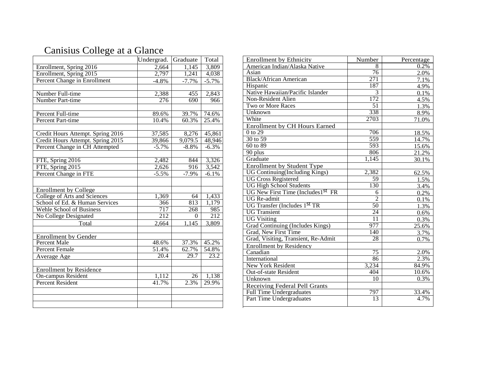# Canisius College at a Glance

|                                   | Undergrad. | Graduate            | Total            |
|-----------------------------------|------------|---------------------|------------------|
| Enrollment, Spring 2016           | 2,664      | $\overline{1,1}$ 45 | 3,809            |
| Enrollment, Spring 2015           | 2,797      | 1,241               | 4,038            |
| Percent Change in Enrollment      | $-4.8\%$   | $-7.7%$             | $-5.7\%$         |
|                                   |            |                     |                  |
| Number Full-time                  | 2,388      | 455                 | 2,843            |
| Number Part-time                  | 276        | 690                 | 966              |
|                                   |            |                     |                  |
| Percent Full-time                 | 89.6%      | 39.7%               | 74.6%            |
| Percent Part-time                 | 10.4%      | 60.3%               | 25.4%            |
|                                   |            |                     |                  |
| Credit Hours Attempt. Spring 2016 | 37,585     | 8,276               | 45,861           |
| Credit Hours Attempt. Spring 2015 | 39,866     | 9,079.5             | 48,946           |
| Percent Change in CH Attempted    | $-5.7%$    | $-8.8%$             | $-6.3%$          |
|                                   |            |                     |                  |
| FTE, Spring 2016                  | 2,482      | 844                 | 3,326            |
| FTE, Spring 2015                  | 2,626      | 916                 | 3,542            |
| Percent Change in FTE             | $-5.5%$    | $-7.9%$             | $-6.1%$          |
|                                   |            |                     |                  |
| <b>Enrollment by College</b>      |            |                     |                  |
| College of Arts and Sciences      | 1,369      | 64                  | 1,433            |
| School of Ed. & Human Services    | 366        | 813                 | 1,179            |
| <b>Wehle School of Business</b>   | 717        | 268                 | 985              |
| No College Designated             | 212        | $\Omega$            | $\overline{212}$ |
| Total                             | 2,664      | 1,145               | 3,809            |
|                                   |            |                     |                  |
| <b>Enrollment by Gender</b>       |            |                     |                  |
| Percent Male                      | 48.6%      | 37.3%               | 45.2%            |
| Percent Female                    | 51.4%      | 62.7%               | 54.8%            |
| Average Age                       | 20.4       | 29.7                | 23.2             |
|                                   |            |                     |                  |
| <b>Enrollment by Residence</b>    |            |                     |                  |
| <b>On-campus Resident</b>         | 1,112      | 26                  | 1,138            |
| <b>Percent Resident</b>           | 41.7%      | 2.3%                | 29.9%            |
|                                   |            |                     |                  |
|                                   |            |                     |                  |
|                                   |            |                     |                  |

| American Indian/Alaska Native<br>8<br>0.2%<br>76<br>Asian<br>2.0%<br>271<br><b>Black/African American</b><br>7.1%<br>187<br>Hispanic<br>4.9%<br>Native Hawaiian/Pacific Islander<br>3<br>0.1%<br>172<br>Non-Resident Alien<br>4.5%<br>$\overline{51}$<br>Two or More Races<br>1.3%<br>338<br>Unknown<br>8.9%<br>2703<br>White<br>71.0%<br><b>Enrollment by CH Hours Earned</b><br>0 to 29<br>706<br>18.5%<br>559<br>30 to 59<br>14.7%<br>$60$ to $89$<br>$\overline{593}$<br>15.6%<br>90 plus<br>806<br>21.2%<br>Graduate<br>1,145<br>30.1%<br><b>Enrollment by Student Type</b><br>UG Continuing(Including Kings)<br>2,382<br>62.5%<br><b>UG Cross Registered</b><br>59<br>1.5%<br><b>UG High School Students</b><br>130<br>3.4%<br>UG New First Time (Includes1 <sup>st</sup> FR<br>6<br>0.2%<br>$\overline{2}$<br><b>UG</b> Re-admit<br>0.1%<br>UG Transfer (Includes 1 <sup>st</sup> TR<br>50<br>1.3%<br>$\overline{24}$<br><b>UG</b> Transient<br>0.6%<br>$\overline{11}$<br><b>UG Visiting</b><br>0.3%<br><b>Grad Continuing (Includes Kings)</b><br>977<br>25.6%<br>Grad, New First Time<br>140<br>3.7%<br>Grad, Visiting, Transient, Re-Admit<br>28<br>0.7%<br><b>Enrollment by Residency</b><br>Canadian<br>75<br>2.0%<br>86<br>2.3%<br>International<br><b>New York Resident</b><br>3,234<br>84.9%<br><b>Out-of-state Resident</b><br>404<br>10.6%<br>Unknown<br>10<br>0.3%<br><b>Receiving Federal Pell Grants</b><br><b>Full Time Undergraduates</b><br>797<br>33.4%<br>13<br>Part Time Undergraduates<br>4.7% | <b>Enrollment by Ethnicity</b> | Number | Percentage |
|----------------------------------------------------------------------------------------------------------------------------------------------------------------------------------------------------------------------------------------------------------------------------------------------------------------------------------------------------------------------------------------------------------------------------------------------------------------------------------------------------------------------------------------------------------------------------------------------------------------------------------------------------------------------------------------------------------------------------------------------------------------------------------------------------------------------------------------------------------------------------------------------------------------------------------------------------------------------------------------------------------------------------------------------------------------------------------------------------------------------------------------------------------------------------------------------------------------------------------------------------------------------------------------------------------------------------------------------------------------------------------------------------------------------------------------------------------------------------------------------------------------------------|--------------------------------|--------|------------|
|                                                                                                                                                                                                                                                                                                                                                                                                                                                                                                                                                                                                                                                                                                                                                                                                                                                                                                                                                                                                                                                                                                                                                                                                                                                                                                                                                                                                                                                                                                                            |                                |        |            |
|                                                                                                                                                                                                                                                                                                                                                                                                                                                                                                                                                                                                                                                                                                                                                                                                                                                                                                                                                                                                                                                                                                                                                                                                                                                                                                                                                                                                                                                                                                                            |                                |        |            |
|                                                                                                                                                                                                                                                                                                                                                                                                                                                                                                                                                                                                                                                                                                                                                                                                                                                                                                                                                                                                                                                                                                                                                                                                                                                                                                                                                                                                                                                                                                                            |                                |        |            |
|                                                                                                                                                                                                                                                                                                                                                                                                                                                                                                                                                                                                                                                                                                                                                                                                                                                                                                                                                                                                                                                                                                                                                                                                                                                                                                                                                                                                                                                                                                                            |                                |        |            |
|                                                                                                                                                                                                                                                                                                                                                                                                                                                                                                                                                                                                                                                                                                                                                                                                                                                                                                                                                                                                                                                                                                                                                                                                                                                                                                                                                                                                                                                                                                                            |                                |        |            |
|                                                                                                                                                                                                                                                                                                                                                                                                                                                                                                                                                                                                                                                                                                                                                                                                                                                                                                                                                                                                                                                                                                                                                                                                                                                                                                                                                                                                                                                                                                                            |                                |        |            |
|                                                                                                                                                                                                                                                                                                                                                                                                                                                                                                                                                                                                                                                                                                                                                                                                                                                                                                                                                                                                                                                                                                                                                                                                                                                                                                                                                                                                                                                                                                                            |                                |        |            |
|                                                                                                                                                                                                                                                                                                                                                                                                                                                                                                                                                                                                                                                                                                                                                                                                                                                                                                                                                                                                                                                                                                                                                                                                                                                                                                                                                                                                                                                                                                                            |                                |        |            |
|                                                                                                                                                                                                                                                                                                                                                                                                                                                                                                                                                                                                                                                                                                                                                                                                                                                                                                                                                                                                                                                                                                                                                                                                                                                                                                                                                                                                                                                                                                                            |                                |        |            |
|                                                                                                                                                                                                                                                                                                                                                                                                                                                                                                                                                                                                                                                                                                                                                                                                                                                                                                                                                                                                                                                                                                                                                                                                                                                                                                                                                                                                                                                                                                                            |                                |        |            |
|                                                                                                                                                                                                                                                                                                                                                                                                                                                                                                                                                                                                                                                                                                                                                                                                                                                                                                                                                                                                                                                                                                                                                                                                                                                                                                                                                                                                                                                                                                                            |                                |        |            |
|                                                                                                                                                                                                                                                                                                                                                                                                                                                                                                                                                                                                                                                                                                                                                                                                                                                                                                                                                                                                                                                                                                                                                                                                                                                                                                                                                                                                                                                                                                                            |                                |        |            |
|                                                                                                                                                                                                                                                                                                                                                                                                                                                                                                                                                                                                                                                                                                                                                                                                                                                                                                                                                                                                                                                                                                                                                                                                                                                                                                                                                                                                                                                                                                                            |                                |        |            |
|                                                                                                                                                                                                                                                                                                                                                                                                                                                                                                                                                                                                                                                                                                                                                                                                                                                                                                                                                                                                                                                                                                                                                                                                                                                                                                                                                                                                                                                                                                                            |                                |        |            |
|                                                                                                                                                                                                                                                                                                                                                                                                                                                                                                                                                                                                                                                                                                                                                                                                                                                                                                                                                                                                                                                                                                                                                                                                                                                                                                                                                                                                                                                                                                                            |                                |        |            |
|                                                                                                                                                                                                                                                                                                                                                                                                                                                                                                                                                                                                                                                                                                                                                                                                                                                                                                                                                                                                                                                                                                                                                                                                                                                                                                                                                                                                                                                                                                                            |                                |        |            |
|                                                                                                                                                                                                                                                                                                                                                                                                                                                                                                                                                                                                                                                                                                                                                                                                                                                                                                                                                                                                                                                                                                                                                                                                                                                                                                                                                                                                                                                                                                                            |                                |        |            |
|                                                                                                                                                                                                                                                                                                                                                                                                                                                                                                                                                                                                                                                                                                                                                                                                                                                                                                                                                                                                                                                                                                                                                                                                                                                                                                                                                                                                                                                                                                                            |                                |        |            |
|                                                                                                                                                                                                                                                                                                                                                                                                                                                                                                                                                                                                                                                                                                                                                                                                                                                                                                                                                                                                                                                                                                                                                                                                                                                                                                                                                                                                                                                                                                                            |                                |        |            |
|                                                                                                                                                                                                                                                                                                                                                                                                                                                                                                                                                                                                                                                                                                                                                                                                                                                                                                                                                                                                                                                                                                                                                                                                                                                                                                                                                                                                                                                                                                                            |                                |        |            |
|                                                                                                                                                                                                                                                                                                                                                                                                                                                                                                                                                                                                                                                                                                                                                                                                                                                                                                                                                                                                                                                                                                                                                                                                                                                                                                                                                                                                                                                                                                                            |                                |        |            |
|                                                                                                                                                                                                                                                                                                                                                                                                                                                                                                                                                                                                                                                                                                                                                                                                                                                                                                                                                                                                                                                                                                                                                                                                                                                                                                                                                                                                                                                                                                                            |                                |        |            |
|                                                                                                                                                                                                                                                                                                                                                                                                                                                                                                                                                                                                                                                                                                                                                                                                                                                                                                                                                                                                                                                                                                                                                                                                                                                                                                                                                                                                                                                                                                                            |                                |        |            |
|                                                                                                                                                                                                                                                                                                                                                                                                                                                                                                                                                                                                                                                                                                                                                                                                                                                                                                                                                                                                                                                                                                                                                                                                                                                                                                                                                                                                                                                                                                                            |                                |        |            |
|                                                                                                                                                                                                                                                                                                                                                                                                                                                                                                                                                                                                                                                                                                                                                                                                                                                                                                                                                                                                                                                                                                                                                                                                                                                                                                                                                                                                                                                                                                                            |                                |        |            |
|                                                                                                                                                                                                                                                                                                                                                                                                                                                                                                                                                                                                                                                                                                                                                                                                                                                                                                                                                                                                                                                                                                                                                                                                                                                                                                                                                                                                                                                                                                                            |                                |        |            |
|                                                                                                                                                                                                                                                                                                                                                                                                                                                                                                                                                                                                                                                                                                                                                                                                                                                                                                                                                                                                                                                                                                                                                                                                                                                                                                                                                                                                                                                                                                                            |                                |        |            |
|                                                                                                                                                                                                                                                                                                                                                                                                                                                                                                                                                                                                                                                                                                                                                                                                                                                                                                                                                                                                                                                                                                                                                                                                                                                                                                                                                                                                                                                                                                                            |                                |        |            |
|                                                                                                                                                                                                                                                                                                                                                                                                                                                                                                                                                                                                                                                                                                                                                                                                                                                                                                                                                                                                                                                                                                                                                                                                                                                                                                                                                                                                                                                                                                                            |                                |        |            |
|                                                                                                                                                                                                                                                                                                                                                                                                                                                                                                                                                                                                                                                                                                                                                                                                                                                                                                                                                                                                                                                                                                                                                                                                                                                                                                                                                                                                                                                                                                                            |                                |        |            |
|                                                                                                                                                                                                                                                                                                                                                                                                                                                                                                                                                                                                                                                                                                                                                                                                                                                                                                                                                                                                                                                                                                                                                                                                                                                                                                                                                                                                                                                                                                                            |                                |        |            |
|                                                                                                                                                                                                                                                                                                                                                                                                                                                                                                                                                                                                                                                                                                                                                                                                                                                                                                                                                                                                                                                                                                                                                                                                                                                                                                                                                                                                                                                                                                                            |                                |        |            |
|                                                                                                                                                                                                                                                                                                                                                                                                                                                                                                                                                                                                                                                                                                                                                                                                                                                                                                                                                                                                                                                                                                                                                                                                                                                                                                                                                                                                                                                                                                                            |                                |        |            |
|                                                                                                                                                                                                                                                                                                                                                                                                                                                                                                                                                                                                                                                                                                                                                                                                                                                                                                                                                                                                                                                                                                                                                                                                                                                                                                                                                                                                                                                                                                                            |                                |        |            |
|                                                                                                                                                                                                                                                                                                                                                                                                                                                                                                                                                                                                                                                                                                                                                                                                                                                                                                                                                                                                                                                                                                                                                                                                                                                                                                                                                                                                                                                                                                                            |                                |        |            |
|                                                                                                                                                                                                                                                                                                                                                                                                                                                                                                                                                                                                                                                                                                                                                                                                                                                                                                                                                                                                                                                                                                                                                                                                                                                                                                                                                                                                                                                                                                                            |                                |        |            |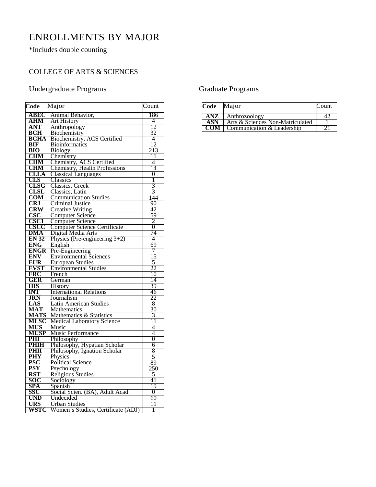# ENROLLMENTS BY MAJOR

\*Includes double counting

#### COLLEGE OF ARTS & SCIENCES

#### Undergraduate Programs

| Code                    | Major                                | Count          |
|-------------------------|--------------------------------------|----------------|
| ABEC                    | Animal Behavior,                     | 186            |
| <b>AHM</b>              | <b>Art History</b>                   | 4              |
| <b>ANT</b>              | Anthropology                         | 12             |
| <b>BCH</b>              | Biochemistry                         | 32             |
| <b>BCHA</b>             | <b>Biochemistry, ACS Certified</b>   | $\overline{4}$ |
| <b>BIF</b>              | <b>Bioinformatics</b>                | 12             |
| BIO                     | <b>Biology</b>                       | 213            |
| <b>CHM</b>              | Chemistry                            | 11             |
| <b>CHM</b>              | Chemistry, ACS Certified             | 4              |
| CHM                     | <b>Chemistry, Health Professions</b> | 14             |
| <b>CLLA</b>             | <b>Classical Languages</b>           | $\overline{0}$ |
| CLS                     | Classics                             | 1              |
| CLSG                    | Classics, Greek                      |                |
| <b>CLSL</b>             | Classics, Latin                      | $rac{3}{3}$    |
| <b>COM</b>              | <b>Communication Studies</b>         | 144            |
| CRJ                     | Criminal Justice                     | 90             |
| <b>CRW</b>              | <b>Creative Writing</b>              | 42             |
| $\csc$                  | <b>Computer Science</b>              | 59             |
| <b>CSC1</b>             | <b>Computer Science</b>              | $\overline{2}$ |
| <b>CSCC</b>             | <b>Computer Science Certificate</b>  | $\overline{0}$ |
| DMA                     | Digital Media Arts                   | 74             |
| <b>EN 32</b>            | Physics (Pre-engineering $3+2$ )     | 4              |
| <b>ENG</b>              | English                              | 69             |
| <b>ENGR</b>             | Pre-Engineering                      | 7              |
| <b>ENV</b>              | <b>Environmental Sciences</b>        | 15             |
| <b>EUR</b>              | <b>European Studies</b>              | 5              |
| <b>EVST</b>             | <b>Environmental Studies</b>         | 22             |
| <b>FRC</b>              | French                               | 10             |
| GER                     | German                               | 14             |
| <b>HIS</b>              | History                              | 39             |
| <b>INT</b>              | <b>International Relations</b>       | 46             |
| <b>JRN</b>              | Journalism                           | 22             |
| LAS                     | Latin American Studies               | 8              |
| $\overline{\text{MAT}}$ | Mathematics                          | 30             |
|                         | Mathematics & Statistics             | 3              |
| <b>MATS<br/>MLSC</b>    | <b>Medical Laboratory Science</b>    | 11             |
| <b>MUS</b>              | Music                                | 4              |
| <b>MUSP</b>             | <b>Music Performance</b>             | 4              |
| PHI                     | Philosophy                           | $\overline{0}$ |
| <b>PHIH</b>             | Philosophy, Hypatian Scholar         | 6              |
| PHII                    | Philosophy, Ignation Scholar         | 8              |
| <b>PHY</b>              | Physics                              | 5              |
| <b>PSC</b>              | <b>Political Science</b>             | 89             |
| <b>PSY</b>              | Psychology                           | 250            |
| <b>RST</b>              | Religious Studies                    | 5              |
| SOC                     | Sociology                            | 41             |
| SPA                     | Spanish                              | 19             |
| SSC                     | Social Scien. (BA), Adult Acad.      | 0              |
| <b>UND</b>              | Undecided                            | 60             |
| <b>URS</b>              | <b>Urban Studies</b>                 | 11             |
| <b>WSTC</b>             | Women's Studies, Certificate (ADJ)   | 1              |

#### Graduate Programs

| Code       | Major                            | Count |
|------------|----------------------------------|-------|
| ANZ.       | Anthrozoology                    |       |
| ASN        | Arts & Sciences Non-Matriculated |       |
| <b>COM</b> | Communication & Leadership       |       |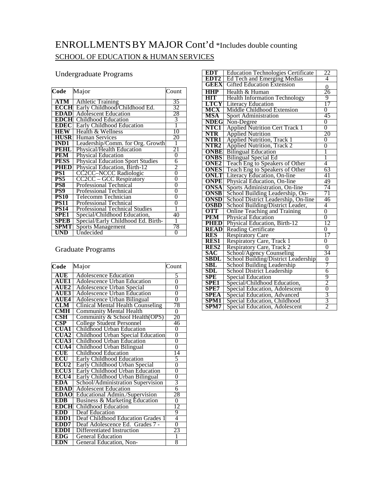## ENROLLMENTSBY MAJOR Cont'd \*Includes double counting SCHOOL OF EDUCATION & HUMAN SERVICES

#### Undergraduate Programs

| Code        | Major                                   | Count          |
|-------------|-----------------------------------------|----------------|
| ATM         | <b>Athletic Training</b>                | 35             |
|             |                                         |                |
| ECCH        | Early Childhood/Childhood Ed.           | 32             |
| EDAD        | <b>Adolescent Education</b>             | 28             |
| EDCH        | Childhood Education                     | 3              |
| EDEC        | <b>Early Childhood Education</b>        |                |
| HEW         | Health & Wellness                       | 10             |
| <b>HUSR</b> | <b>Human Services</b>                   | 20             |
| <b>IND1</b> | Leadership/Comm. for Org. Growth        | 1              |
| PEHL        | Physical/Health Education               | 21             |
| <b>PEM</b>  | <b>Physical Education</b>               | $\overline{0}$ |
| <b>PESS</b> | <b>Physical Education Sport Studies</b> | 6              |
| PHED        | Physical Education, Birth-12            | 2              |
| PS1         | <b>CC2CC-NCCC Radiologic</b>            | $\overline{0}$ |
| PS5         | <b>CC2CC - GCC Respiratory</b>          | 0              |
| PS8         | <b>Professional Technical</b>           | 0              |
| PS9         | Professional Technical                  | 0              |
| <b>PS10</b> | Telecomm Technician                     | 0              |
| <b>PS11</b> | Professional Technical                  | 0              |
| <b>PS14</b> | <b>Professional Technical Studies</b>   |                |
| SPE1        | Special/Childhood Education,            | 40             |
| SPEB        | Special/Early Childhood Ed. Birth-      |                |
| SPMT        | <b>Sports Management</b>                | 78             |
| UND         | Undecided                               | 0              |

#### Graduate Programs

| Code             | Major                                    | Count          |
|------------------|------------------------------------------|----------------|
| AUE              | <b>Adolescence Education</b>             | 5              |
| <b>AUE1</b>      | <b>Adolescence Urban Education</b>       | $\overline{0}$ |
| AUE <sub>2</sub> | Adolescence Urban Special                | $\overline{0}$ |
| AUE3             | <b>Adolescence Urban Education</b>       | $\overline{0}$ |
| AUE4             | <b>Adolescence Urban Bilingual</b>       | $\overline{0}$ |
| CLM              | <b>Clinical Mental Health Counseling</b> | 78             |
| CMH              | <b>Community Mental Health</b>           | 0              |
| CSH              | Community & School Health(OPS)           | 20             |
| CSP              | <b>College Student Personnel</b>         | 46             |
| CUA1             | Childhood Urban Education                | 0              |
| <b>CUA2</b>      | Childhood Urban Special Education        | $\overline{0}$ |
| <b>11A3</b>      | Childhood Urban Education                | $\overline{0}$ |
| UA4              | Childhood Urban Bilingual                | 0              |
| CUE              | Childhood Education                      | 14             |
| ECU              | <b>Early Childhood Education</b>         | 5              |
| ECU <sub>2</sub> | Early Childhood Urban Special            | $\overline{0}$ |
| <b>ECU3</b>      | Early Childhood Urban Education          | $\overline{0}$ |
| ECU <sub>4</sub> | Early Childhood Urban Bilingual          | 0              |
| EDA              | School/Administration Supervision        | 3              |
| <b>EDAD</b>      | <b>Adolescent Education</b>              | 6              |
| <b>EDAO</b>      | <b>Educational Admin./Supervision</b>    | 28             |
| <b>EDB</b>       | Business & Marketing Education           | $\overline{0}$ |
| <b>EDCH</b>      | Childhood Education                      | 12             |
| EDD              | Deaf Education                           | 9              |
| EDD <sub>1</sub> | Deaf Childhood Education Grades 1        | 4              |
| EDD7             | Deaf Adolescence Ed. Grades 7 -          | $\overline{0}$ |
| DDI              | Differentiated Instruction               | 23             |
| EDG              | <b>General Education</b>                 | ī              |
| EDN              | General Education, Non-                  | 8              |

| <b>EDT</b>                  | <b>Education Technologies Certificate</b>                              | 22             |
|-----------------------------|------------------------------------------------------------------------|----------------|
| EDT2                        | <b>Ed Tech and Emerging Medias</b>                                     | 4              |
| <b>GEEX</b>                 | <b>Gifted Education Extension</b>                                      | 0              |
| <b>HHP</b>                  | Health & Human                                                         | 26             |
| <b>HIT</b>                  | <b>Health Information Technology</b>                                   | 9              |
| <b>LTCY</b>                 | Literacy Education                                                     | 17             |
| <b>MCX</b>                  | Middle Childhood Extension                                             | 0              |
| <b>MSA</b>                  | Sport Administration                                                   | 45             |
| <b>NDEG</b>                 | Non-Degree                                                             | $\overline{0}$ |
| NTC1                        | <b>Applied Nutrition Cert Track 1</b>                                  | $\overline{0}$ |
| <b>NTR</b>                  | <b>Applied Nutrition</b>                                               | 20             |
| NTR1                        | <b>Applied Nutrition, Track 1</b><br><b>Applied Nutrition, Track 2</b> | $\overline{0}$ |
| NTR <sub>2</sub>            |                                                                        | $\overline{0}$ |
| <b>ONBE</b>                 | <b>Bilingual Education</b>                                             | 1              |
| <b>ONBS</b>                 | <b>Bilingual Special Ed</b>                                            | 1              |
| ONE <sub>2</sub>            | Teach Eng to Speakers of Other                                         | 4              |
| <b>ONES</b>                 | Teach Eng to Speakers of Other                                         | 63             |
| <b>ONLT</b>                 | Literacy Education, On-line                                            | 41             |
| <b>ONPE</b>                 | Physical Education, On-line                                            | 49             |
| ONSA                        | Sports Administration, On-line                                         | 74             |
| <b>ONSB</b>                 | School Building Leadership, On-                                        | 71             |
| <b>ONSD</b>                 | School District Leadership, On-line                                    | 46             |
| <b>OSBD</b>                 | School Building/District Leader,                                       | 4              |
| <b>OTT</b>                  | Online Teaching and Training                                           | $\overline{0}$ |
| <b>PEM</b>                  | <b>Physical Education</b>                                              | $\overline{0}$ |
| <b>PHED</b>                 | Physical Education, Birth-12                                           | 12             |
| <b>READ</b>                 | <b>Reading Certificate</b>                                             | 0              |
| <b>RES</b>                  | <b>Respiratory Care</b>                                                | 17             |
| <b>RES1</b>                 | Respiratory Care, Track 1                                              | 0              |
| RES <sub>2</sub>            | Respiratory Care, Track 2                                              | $\overline{0}$ |
| SAC                         | School/Agency Counseling                                               | 34             |
| <b>SBDL</b>                 | School Building/District Leadership                                    | $\overline{0}$ |
| <b>SBL</b>                  | School Building Leadership                                             | 7              |
| $\boldsymbol{\mathrm{SDL}}$ | <b>School District Leadership</b>                                      | 6              |
| SPE                         | <b>Special Education</b>                                               | 9              |
| SPE1                        | Special/Childhood Education,                                           | $\overline{2}$ |
| SPE7                        | Special Education, Adolescent                                          | $\overline{0}$ |
| <b>SPEA</b>                 | Special Education, Advanced                                            | $\overline{3}$ |
| SPM1                        | Special Education, Childhood                                           | $\overline{3}$ |
| SPM7                        | Special Education, Adolescent                                          | $\overline{2}$ |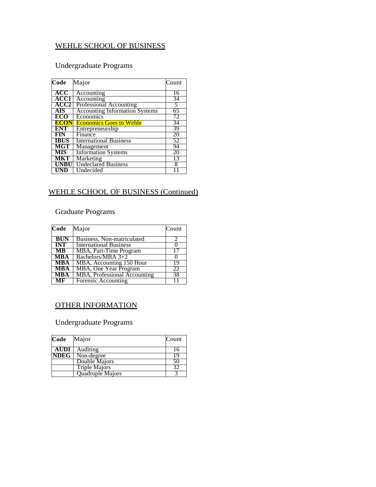#### WEHLE SCHOOL OF BUSINESS

#### Undergraduate Programs

| Code        | Major                                 | Count |
|-------------|---------------------------------------|-------|
|             |                                       |       |
| <b>ACC</b>  | Accounting                            | 16    |
| <b>ACC1</b> | Accounting                            | 34    |
| <b>ACC2</b> | Professional Accounting               | 5     |
| AIS.        | <b>Accounting Information Systems</b> | 65    |
| <b>ECO</b>  | Economics                             | 72    |
| <b>ECON</b> | <b>Economics Goes to Wehle</b>        | 34    |
| ENT         | Entrepreneurship                      | 39    |
| <b>FIN</b>  | Finance                               | 20    |
| <b>IBUS</b> | <b>International Business</b>         | 52    |
| <b>MGT</b>  | Management                            | 94    |
| <b>MIS</b>  | <b>Information Systems</b>            | 20    |
| <b>MKT</b>  | Marketing                             | 13    |
| <b>UNBU</b> | <b>Undeclared Business</b>            | 8     |
| UND         | Undecided                             |       |

#### WEHLE SCHOOL OF BUSINESS (Continued)

#### Graduate Programs

| Code                    | Major                               | Count |
|-------------------------|-------------------------------------|-------|
| <b>BUN</b>              | Business, Non-matriculated          |       |
| $\overline{\text{INT}}$ | <b>International Business</b>       |       |
| $\overline{\text{MB}}$  | MBA, Part-Time Program              |       |
| <b>MBA</b>              | Bachelors/MBA 3+2                   |       |
| <b>MBA</b>              | MBA, Accounting 150 Hour            | 19    |
| - MBA                   | MBA, One Year Program               | 22    |
| <b>MBA</b>              | <b>MBA, Professional Accounting</b> | 38    |
| MF                      | Forensic Accounting                 |       |

#### OTHER INFORMATION

#### Undergraduate Programs

| Code        | Major                | Count |
|-------------|----------------------|-------|
| AUDI        | Auditing             | 16    |
| <b>NDEG</b> | Non-degree           | 19    |
|             | Double Majors        | 50    |
|             | <b>Triple Majors</b> |       |
|             | Quadruple Majors     |       |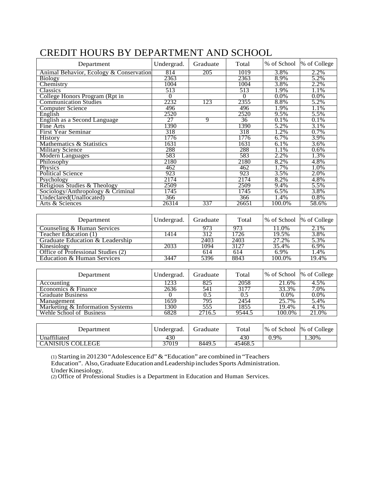| Department                              | Undergrad.     | Graduate | Total          | % of School | % of College |
|-----------------------------------------|----------------|----------|----------------|-------------|--------------|
| Animal Behavior, Ecology & Conservation | 814            | 205      | 1019           | 3.8%        | 2.2%         |
| <b>Biology</b>                          | 2363           |          | 2363           | 8.9%        | 5.2%         |
| Chemistry                               | 1004           |          | 1004           | 3.8%        | 2.2%         |
| Classics                                | 513            |          | 513            | 1.9%        | 1.1%         |
| College Honors Program (Rpt in          | $\overline{0}$ |          | $\overline{0}$ | 0.0%        | 0.0%         |
| <b>Communication Studies</b>            | 2232           | 123      | 2355           | 8.8%        | 5.2%         |
| <b>Computer Science</b>                 | 496            |          | 496            | 1.9%        | 1.1%         |
| English                                 | 2520           |          | 2520           | 9.5%        | 5.5%         |
| English as a Second Language            | 27             | 9        | 36             | 0.1%        | 0.1%         |
| Fine Arts                               | 1390           |          | 1390           | 5.2%        | 3.1%         |
| <b>First Year Seminar</b>               | 318            |          | 318            | 1.2%        | 0.7%         |
| <b>History</b>                          | 1776           |          | 1776           | 6.7%        | 3.9%         |
| Mathematics & Statistics                | 1631           |          | 1631           | 6.1%        | 3.6%         |
| <b>Military Science</b>                 | 288            |          | 288            | 1.1%        | 0.6%         |
| <b>Modern Languages</b>                 | 583            |          | 583            | 2.2%        | 1.3%         |
| Philosophy                              | 2180           |          | 2180           | 8.2%        | 4.8%         |
| Physics                                 | 462            |          | 462            | 1.7%        | 1.0%         |
| <b>Political Science</b>                | 923            |          | 923            | 3.5%        | 2.0%         |
| Psychology                              | 2174           |          | 2174           | 8.2%        | 4.8%         |
| Religious Studies & Theology            | 2509           |          | 2509           | 9.4%        | 5.5%         |
| Sociology/Anthropology & Criminal       | 1745           |          | 1745           | 6.5%        | 3.8%         |
| Undeclared(Unallocated)                 | 366            |          | 366            | 1.4%        | 0.8%         |
| Arts & Sciences                         | 26314          | 337      | 26651          | 100.0%      | 58.6%        |
|                                         |                |          |                |             |              |
| Department                              | Undergrad.     | Graduate | Total          | % of School | % of College |
| Counseling & Human Services             |                | 973      | 973            | 11.0%       | 2.1%         |
| Teacher Education (1)                   | 1414           | 312      | 1726           | 19.5%       | 3.8%         |
| Graduate Education & Leadership         |                | 2403     | 2403           | 27.2%       | 5.3%         |
| Kinesiology                             | 2033           | 1094     | 3127           | 35.4%       | 6.9%         |

## CREDIT HOURS BY DEPARTMENT AND SCHOOL

| Department                      | Undergrad. | Graduate | Total  | % of School  % of College |                     |
|---------------------------------|------------|----------|--------|---------------------------|---------------------|
| Accounting                      | 1233       | 825      | 2058   | 21.6%                     | 4.5%                |
| Economics & Finance             | 2636       | 541      | 3177   | 33.3%                     | 7.0%                |
| <b>Graduate Business</b>        |            | 0.5      |        | $0.0\%$                   | $0.0\%$             |
| Management                      | 1659       | 795      | 2454   | 25.7%                     | 5.4%                |
| Marketing & Information Systems | 300        | 555      | 1855   | 19.4%                     | 4.1%                |
| Wehle School of Business        | 6828       | 2716.5   | 9544.5 | 100.0%                    | $21.\overline{0\%}$ |

Kinesiology 2033 1094 3127 35.4% 6.9%<br>Office of Professional Studies (2) 614 614 6.9% 1.4% Office of Professional Studies (2) <br>
Between 1.4% 1.4% Education & Human Services 19.447 5396 8843 100.0% 19.4%

| Department              | Undergrad. | Graduate | Total   |      | % of School % of College |
|-------------------------|------------|----------|---------|------|--------------------------|
| Unaffiliated            | 430        |          | 430     | 0.9% | 1.30%                    |
| <b>CANISIUS COLLEGE</b> | 37019      | 8449.5   | 45468.5 |      |                          |

(1) Starting in 201230 "Adolescence Ed" & "Education" are combined in "Teachers

Education & Human Services

Education". Also, Graduate Education and Leadership includes Sports Administration. Under Kinesiology.

(2) Office of Professional Studies is a Department in Education and Human Services.